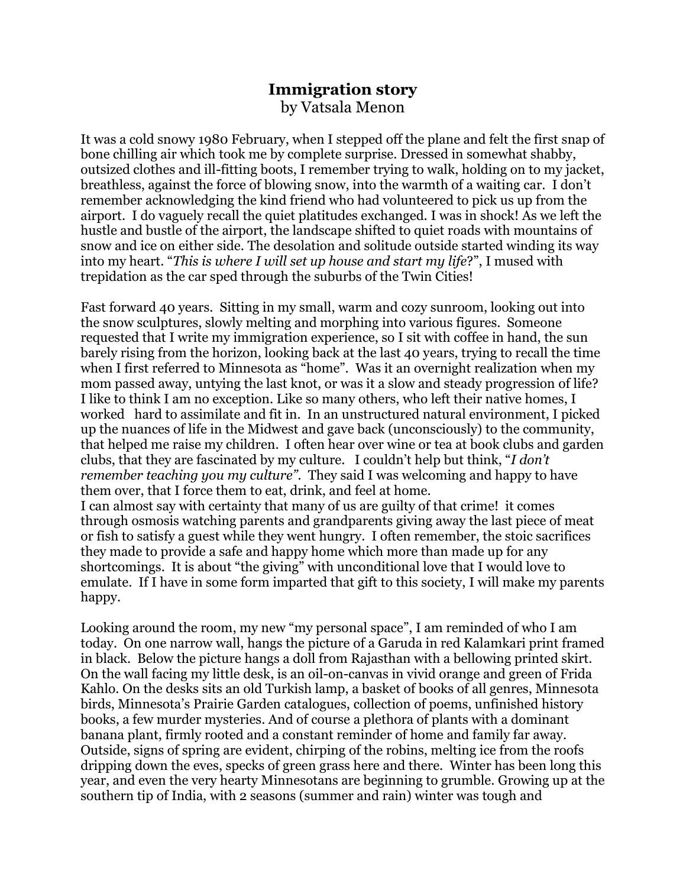## **Immigration story** by Vatsala Menon

It was a cold snowy 1980 February, when I stepped off the plane and felt the first snap of bone chilling air which took me by complete surprise. Dressed in somewhat shabby, outsized clothes and ill-fitting boots, I remember trying to walk, holding on to my jacket, breathless, against the force of blowing snow, into the warmth of a waiting car. I don't remember acknowledging the kind friend who had volunteered to pick us up from the airport. I do vaguely recall the quiet platitudes exchanged. I was in shock! As we left the hustle and bustle of the airport, the landscape shifted to quiet roads with mountains of snow and ice on either side. The desolation and solitude outside started winding its way into my heart. "*This is where I will set up house and start my life*?", I mused with trepidation as the car sped through the suburbs of the Twin Cities!

Fast forward 40 years. Sitting in my small, warm and cozy sunroom, looking out into the snow sculptures, slowly melting and morphing into various figures. Someone requested that I write my immigration experience, so I sit with coffee in hand, the sun barely rising from the horizon, looking back at the last 40 years, trying to recall the time when I first referred to Minnesota as "home". Was it an overnight realization when my mom passed away, untying the last knot, or was it a slow and steady progression of life? I like to think I am no exception. Like so many others, who left their native homes, I worked hard to assimilate and fit in. In an unstructured natural environment, I picked up the nuances of life in the Midwest and gave back (unconsciously) to the community, that helped me raise my children. I often hear over wine or tea at book clubs and garden clubs, that they are fascinated by my culture. I couldn't help but think, "*I don't remember teaching you my culture".* They said I was welcoming and happy to have them over, that I force them to eat, drink, and feel at home. I can almost say with certainty that many of us are guilty of that crime! it comes through osmosis watching parents and grandparents giving away the last piece of meat or fish to satisfy a guest while they went hungry. I often remember, the stoic sacrifices

they made to provide a safe and happy home which more than made up for any shortcomings. It is about "the giving" with unconditional love that I would love to emulate. If I have in some form imparted that gift to this society, I will make my parents happy.

Looking around the room, my new "my personal space", I am reminded of who I am today. On one narrow wall, hangs the picture of a Garuda in red Kalamkari print framed in black. Below the picture hangs a doll from Rajasthan with a bellowing printed skirt. On the wall facing my little desk, is an oil-on-canvas in vivid orange and green of Frida Kahlo. On the desks sits an old Turkish lamp, a basket of books of all genres, Minnesota birds, Minnesota's Prairie Garden catalogues, collection of poems, unfinished history books, a few murder mysteries. And of course a plethora of plants with a dominant banana plant, firmly rooted and a constant reminder of home and family far away. Outside, signs of spring are evident, chirping of the robins, melting ice from the roofs dripping down the eves, specks of green grass here and there. Winter has been long this year, and even the very hearty Minnesotans are beginning to grumble. Growing up at the southern tip of India, with 2 seasons (summer and rain) winter was tough and